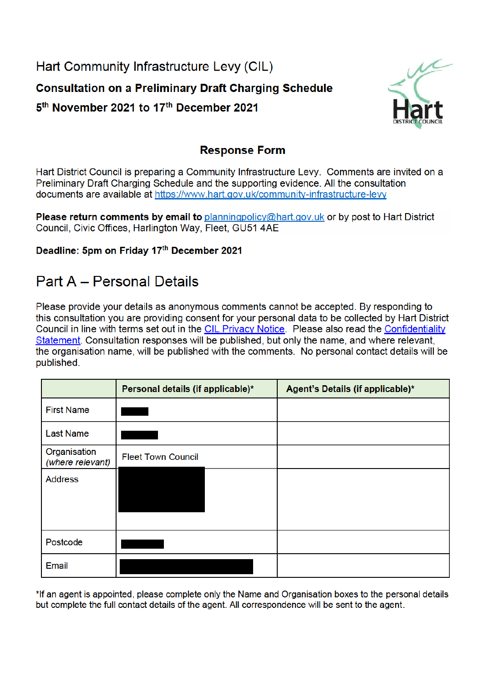Hart Community Infrastructure Levy (CIL) **Consultation on a Preliminary Draft Charging Schedule** 5<sup>th</sup> November 2021 to 17<sup>th</sup> December 2021



## **Response Form**

Hart District Council is preparing a Community Infrastructure Levy. Comments are invited on a Preliminary Draft Charging Schedule and the supporting evidence. All the consultation documents are available at https://www.hart.gov.uk/community-infrastructure-levy

**Please return comments by email to planningpolicy@hart.gov.uk or by post to Hart District** Council, Civic Offices, Harlington Way, Fleet, GU51 4AE

Deadline: 5pm on Friday 17th December 2021

## **Part A - Personal Details**

Please provide your details as anonymous comments cannot be accepted. By responding to this consultation you are providing consent for your personal data to be collected by Hart District Council in line with terms set out in the CIL Privacy Notice. Please also read the Confidentiality Statement. Consultation responses will be published, but only the name, and where relevant, the organisation name, will be published with the comments. No personal contact details will be published.

|                                  | Personal details (if applicable)* | Agent's Details (if applicable)* |
|----------------------------------|-----------------------------------|----------------------------------|
| <b>First Name</b>                |                                   |                                  |
| <b>Last Name</b>                 |                                   |                                  |
| Organisation<br>(where relevant) | <b>Fleet Town Council</b>         |                                  |
| <b>Address</b>                   |                                   |                                  |
| Postcode                         |                                   |                                  |
| Email                            |                                   |                                  |

\*If an agent is appointed, please complete only the Name and Organisation boxes to the personal details but complete the full contact details of the agent. All correspondence will be sent to the agent.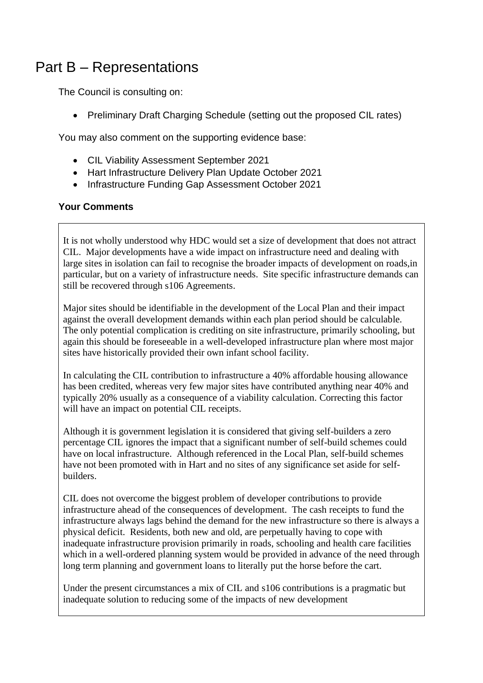## Part B – Representations

The Council is consulting on:

• Preliminary Draft Charging Schedule (setting out the proposed CIL rates)

You may also comment on the supporting evidence base:

- CIL Viability Assessment September 2021
- Hart Infrastructure Delivery Plan Update October 2021
- Infrastructure Funding Gap Assessment October 2021

## **Your Comments**

It is not wholly understood why HDC would set a size of development that does not attract CIL. Major developments have a wide impact on infrastructure need and dealing with large sites in isolation can fail to recognise the broader impacts of development on roads,in particular, but on a variety of infrastructure needs. Site specific infrastructure demands can still be recovered through s106 Agreements.

Major sites should be identifiable in the development of the Local Plan and their impact against the overall development demands within each plan period should be calculable. The only potential complication is crediting on site infrastructure, primarily schooling, but again this should be foreseeable in a well-developed infrastructure plan where most major sites have historically provided their own infant school facility.

In calculating the CIL contribution to infrastructure a 40% affordable housing allowance has been credited, whereas very few major sites have contributed anything near 40% and typically 20% usually as a consequence of a viability calculation. Correcting this factor will have an impact on potential CIL receipts.

Although it is government legislation it is considered that giving self-builders a zero percentage CIL ignores the impact that a significant number of self-build schemes could have on local infrastructure. Although referenced in the Local Plan, self-build schemes have not been promoted with in Hart and no sites of any significance set aside for selfbuilders.

CIL does not overcome the biggest problem of developer contributions to provide infrastructure ahead of the consequences of development. The cash receipts to fund the infrastructure always lags behind the demand for the new infrastructure so there is always a physical deficit. Residents, both new and old, are perpetually having to cope with inadequate infrastructure provision primarily in roads, schooling and health care facilities which in a well-ordered planning system would be provided in advance of the need through long term planning and government loans to literally put the horse before the cart.

Under the present circumstances a mix of CIL and s106 contributions is a pragmatic but inadequate solution to reducing some of the impacts of new development